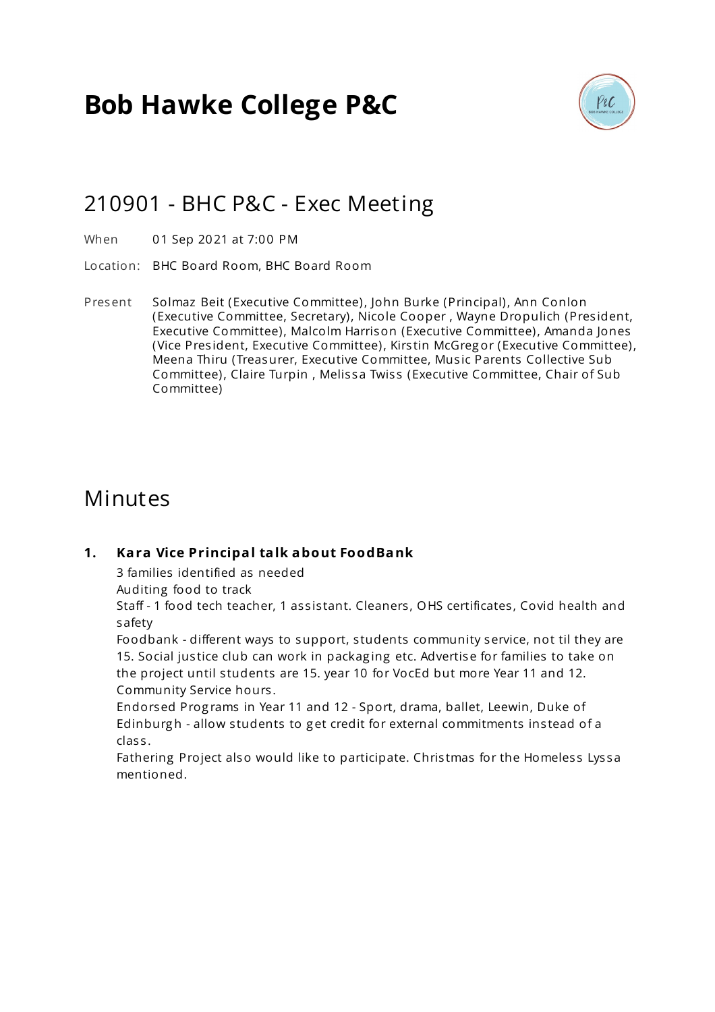# **Bob Hawke College P&C**



### 210901 - BHC P&C - Exec Meeting

- When 01 Sep 2021 at 7:00 PM
- Location: BHC Board Room, BHC Board Room
- Present Solmaz Beit (Executive Committee), John Burke (Principal), Ann Conlon (Executive Committee, Secretary), Nicole Cooper , Wayne Dropulich (Pres ident, Executive Committee), Malcolm Harrison (Executive Committee), Amanda Jones (Vice President, Executive Committee), Kirstin McGregor (Executive Committee), Meena Thiru (Treasurer, Executive Committee, Mus ic Parents Collective Sub Committee), Claire Turpin, Melissa Twiss (Executive Committee, Chair of Sub Committee)

### Minutes

#### **1. Kara Vice Principal talk about FoodBank**

3 families identified as needed

Auditing food to track

Staff - 1 food tech teacher, 1 assistant. Cleaners, OHS certificates, Covid health and safety

Foodbank - different ways to support, s tudents community service, not til they are 15. Social justice club can work in packaging etc. Advertise for families to take on the project until students are 15. year 10 for VocEd but more Year 11 and 12. Community Service hours .

Endorsed Prog rams in Year 11 and 12 - Sport, drama, ballet, Leewin, Duke of Edinburgh - allow students to get credit for external commitments instead of a clas s .

Fathering Project also would like to participate. Christmas for the Homeless Lyssa mentioned.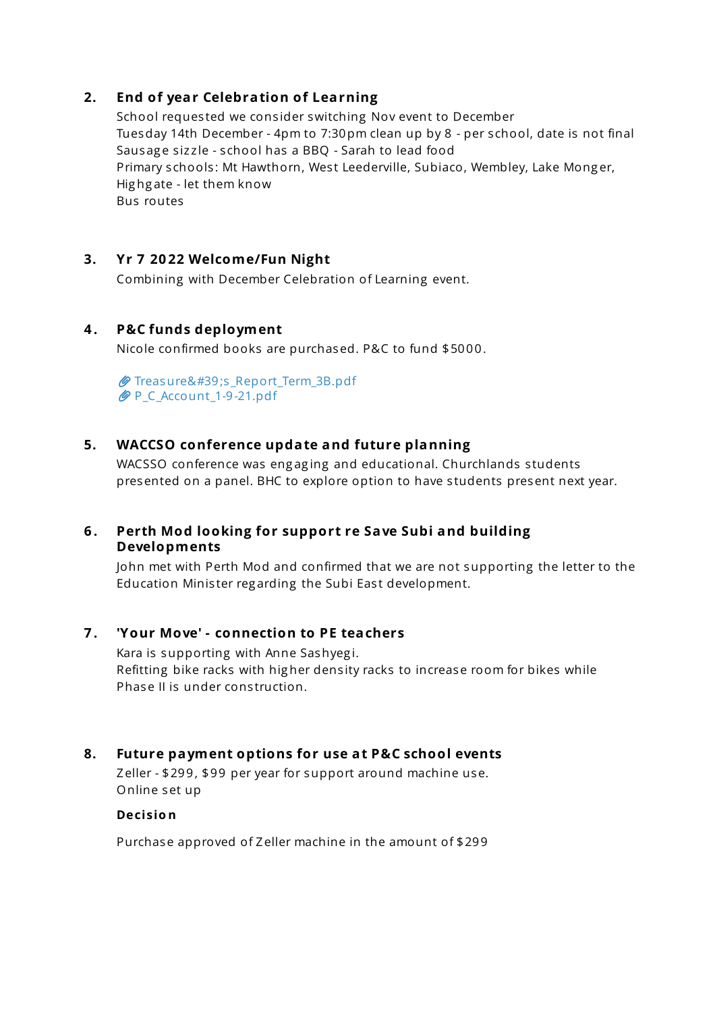#### **2. End of year Celebration of Learning**

School requested we consider switching Nov event to December Tuesday 14th December - 4pm to 7:30pm clean up by 8 - per s chool, date is not final Sausage sizzle - school has a BBQ - Sarah to lead food Primary schools: Mt Hawthorn, West Leederville, Subiaco, Wembley, Lake Monger, Hig hg ate - let them know Bus routes

#### **3. Yr 7 20 22 Welcome/Fun Night**

Combining with December Celebration of Learning event.

#### **4 . P&C funds deployment**

Nicole confirmed books are purchased. P&C to fund \$5000.

 $\mathscr O$  Treasure's Report Term 3B.pdf [P\\_C\\_Account\\_1-9-21.pdf](https://s3.tidyhq.com/orgs/b5f25cff9c5e/attachments/5218d34c75b7cef2b10c76676a4096a999cbc9c1/P_C_Account_1-9-21.pdf)

#### **5. WACCSO conference update and future planning**

WACSSO conference was engaging and educational. Churchlands students presented on a panel. BHC to explore option to have s tudents present next year.

#### **6 . Perth Mod looking for support re Save Subi and building Developments**

John met with Perth Mod and confirmed that we are not supporting the letter to the Education Minister regarding the Subi East development.

#### **7 . 'Your Move' - connection to PE teachers**

Kara is supporting with Anne Sashyeg i. Refitting bike racks with higher density racks to increase room for bikes while Phase II is under construction.

#### **8. Future payment options for use at P&C school events**

Zeller - \$299, \$99 per year for support around machine use. Online set up

#### **Decisio n**

Purchase approved of Zeller machine in the amount of \$299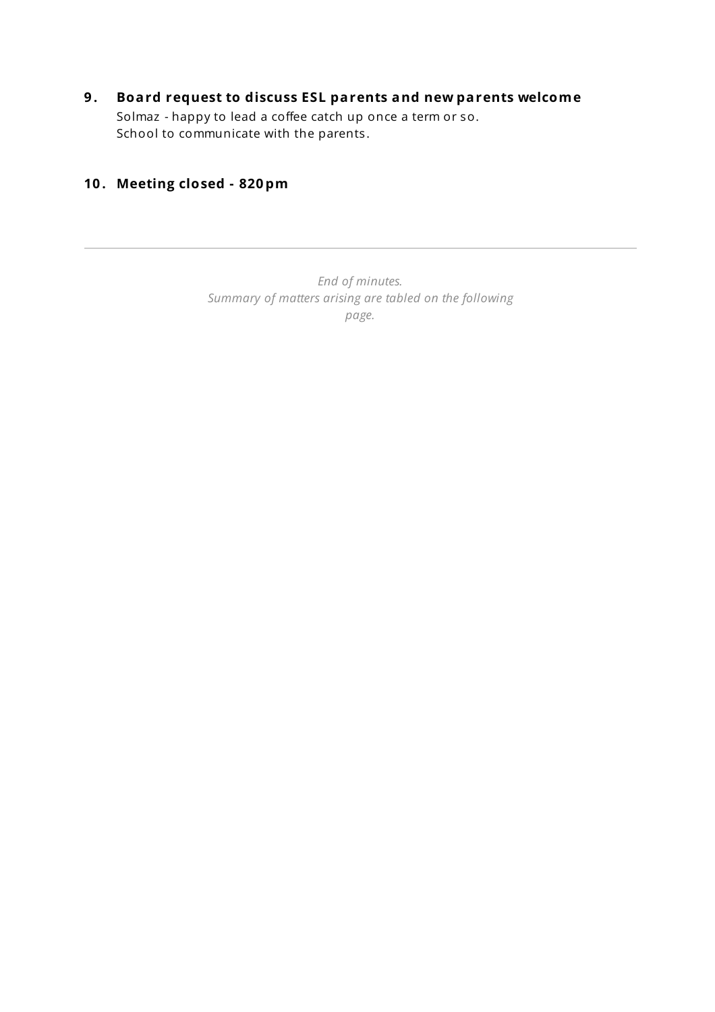#### **9 . Board request to discuss ESL parents and new parents welcome** Solmaz - happy to lead a coffee catch up once a term or so. School to communicate with the parents .

### **10 . Meeting closed - 820 pm**

*End of minutes. Summary of matters arising are tabled on the following page.*